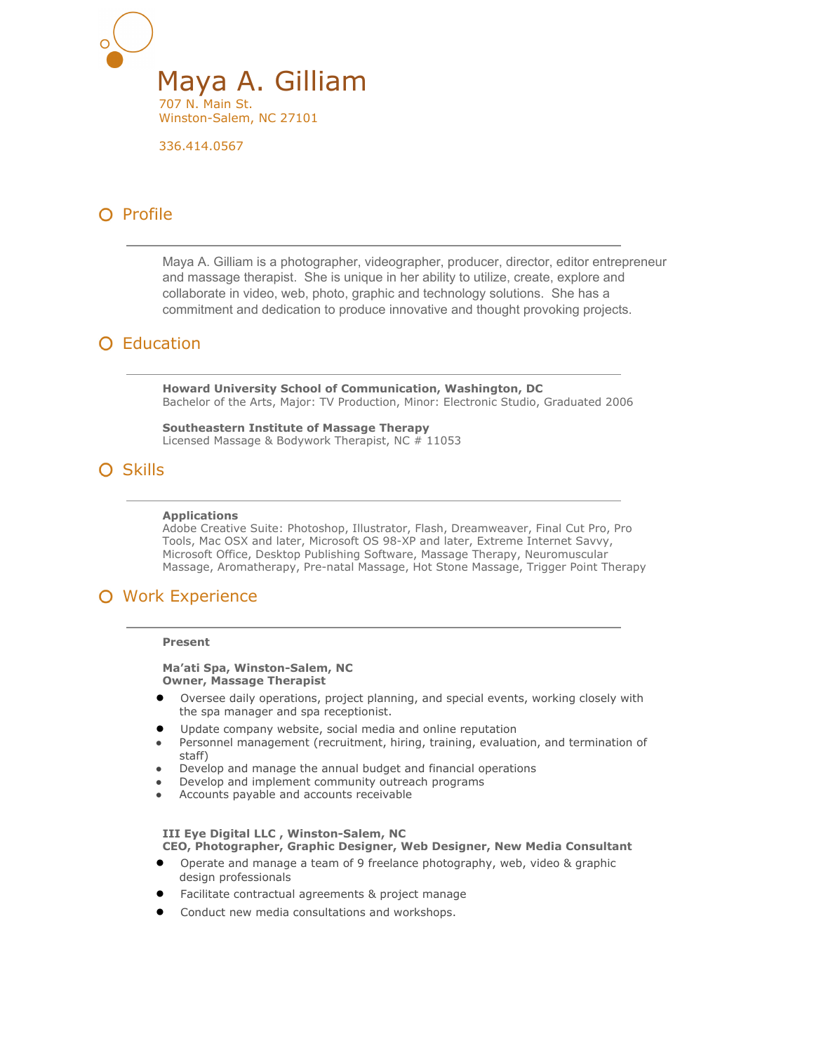

336.414.0567

# O Profile

Maya A. Gilliam is a photographer, videographer, producer, director, editor entrepreneur and massage therapist. She is unique in her ability to utilize, create, explore and collaborate in video, web, photo, graphic and technology solutions. She has a commitment and dedication to produce innovative and thought provoking projects.

# **O** Education

**Howard University School of Communication, Washington, DC** Bachelor of the Arts, Major: TV Production, Minor: Electronic Studio, Graduated 2006

**Southeastern Institute of Massage Therapy** Licensed Massage & Bodywork Therapist, NC # 11053

# O Skills

### **Applications**

Adobe Creative Suite: Photoshop, Illustrator, Flash, Dreamweaver, Final Cut Pro, Pro Tools, Mac OSX and later, Microsoft OS 98-XP and later, Extreme Internet Savvy, Microsoft Office, Desktop Publishing Software, Massage Therapy, Neuromuscular Massage, Aromatherapy, Pre-natal Massage, Hot Stone Massage, Trigger Point Therapy

# Work Experience

### **Present**

**Ma'ati Spa, Winston-Salem, NC Owner, Massage Therapist**

- Oversee daily operations, project planning, and special events, working closely with the spa manager and spa receptionist.
- Update company website, social media and online reputation
- Personnel management (recruitment, hiring, training, evaluation, and termination of staff)
- Develop and manage the annual budget and financial operations
- Develop and implement community outreach programs
- Accounts payable and accounts receivable

#### **III Eye Digital LLC , Winston-Salem, NC CEO, Photographer, Graphic Designer, Web Designer, New Media Consultant**

- Operate and manage a team of 9 freelance photography, web, video & graphic design professionals
- Facilitate contractual agreements & project manage
- Conduct new media consultations and workshops.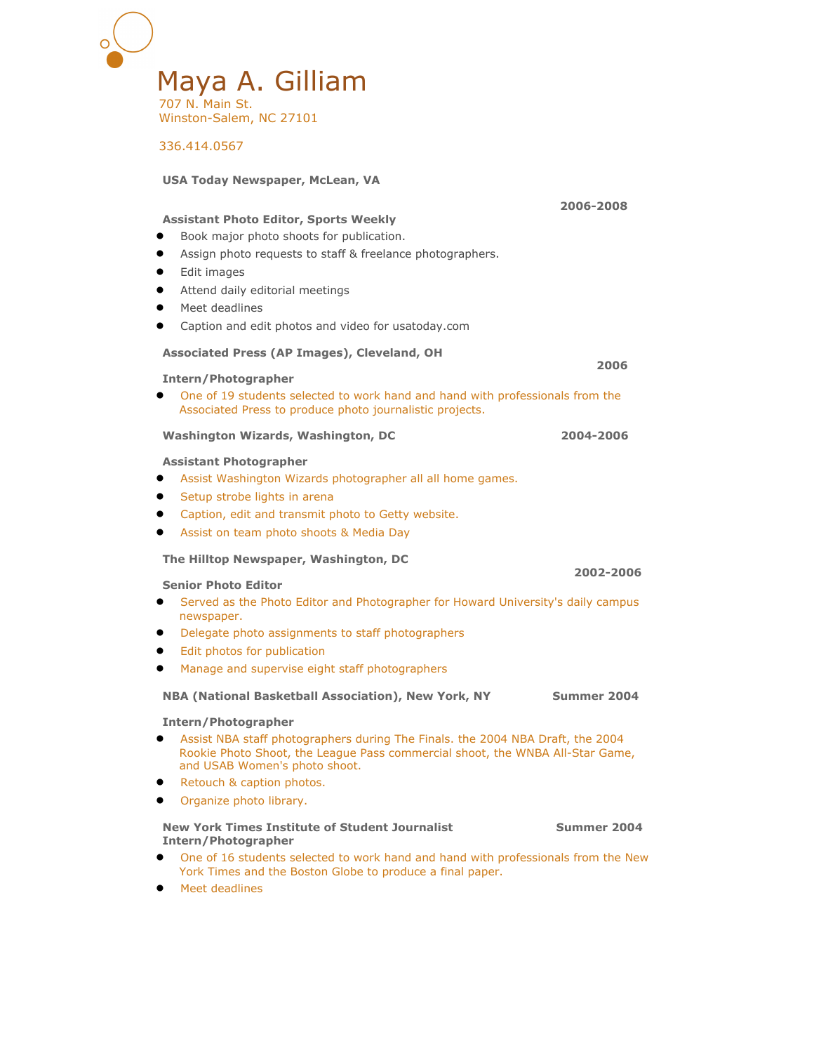

336.414.0567

| <b>USA Today Newspaper, McLean, VA</b>                                                                                                                                                                                                                                                                    |             |
|-----------------------------------------------------------------------------------------------------------------------------------------------------------------------------------------------------------------------------------------------------------------------------------------------------------|-------------|
| <b>Assistant Photo Editor, Sports Weekly</b><br>Book major photo shoots for publication.<br>Assign photo requests to staff & freelance photographers.<br>Edit images<br>Attend daily editorial meetings<br>Meet deadlines<br>Caption and edit photos and video for usatoday.com                           | 2006-2008   |
| Associated Press (AP Images), Cleveland, OH                                                                                                                                                                                                                                                               | 2006        |
| Intern/Photographer<br>One of 19 students selected to work hand and hand with professionals from the<br>Associated Press to produce photo journalistic projects.                                                                                                                                          |             |
| Washington Wizards, Washington, DC                                                                                                                                                                                                                                                                        | 2004-2006   |
| <b>Assistant Photographer</b><br>Assist Washington Wizards photographer all all home games.<br>Setup strobe lights in arena<br>$\bullet$<br>Caption, edit and transmit photo to Getty website.<br>$\bullet$<br>Assist on team photo shoots & Media Day                                                    |             |
| The Hilltop Newspaper, Washington, DC                                                                                                                                                                                                                                                                     |             |
| <b>Senior Photo Editor</b><br>Served as the Photo Editor and Photographer for Howard University's daily campus<br>$\bullet$<br>newspaper.<br>Delegate photo assignments to staff photographers<br>Edit photos for publication<br>$\bullet$<br>Manage and supervise eight staff photographers<br>$\bullet$ | 2002-2006   |
| NBA (National Basketball Association), New York, NY                                                                                                                                                                                                                                                       | Summer 2004 |
| <b>Intern/Photographer</b><br>Assist NBA staff photographers during The Finals. the 2004 NBA Draft, the 2004<br>Rookie Photo Shoot, the League Pass commercial shoot, the WNBA All-Star Game,<br>and USAB Women's photo shoot.<br>Retouch & caption photos.<br>Organize photo library.                    |             |
| <b>New York Times Institute of Student Journalist</b><br><b>Intern/Photographer</b><br>One of 16 students selected to work hand and hand with professionals from the New<br>$\bullet$<br>York Times and the Boston Globe to produce a final paper.<br>Meet deadlines<br>$\bullet$                         | Summer 2004 |